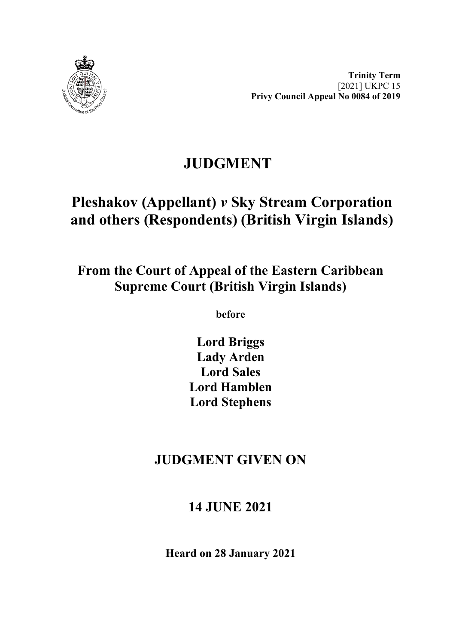

# **JUDGMENT**

# **Pleshakov (Appellant)** *v* **Sky Stream Corporation and others (Respondents) (British Virgin Islands)**

# **From the Court of Appeal of the Eastern Caribbean Supreme Court (British Virgin Islands)**

**before** 

**Lord Briggs Lady Arden Lord Sales Lord Hamblen Lord Stephens**

# **JUDGMENT GIVEN ON**

# **14 JUNE 2021**

**Heard on 28 January 2021**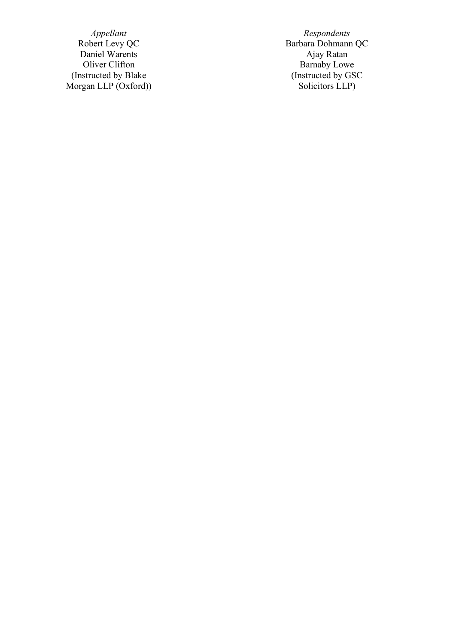Appellant<br>Robert Levy QC<br>Daniel Warents<br>Oliver Clifton (Instructed by Blake Morgan LLP (Oxford) )

*Appellant Respondents* Robert Levy QC Barbara Dohmann QC Barnaby Ratan<br>Barnaby Lowe (Instructed by GSC Solicitors LLP )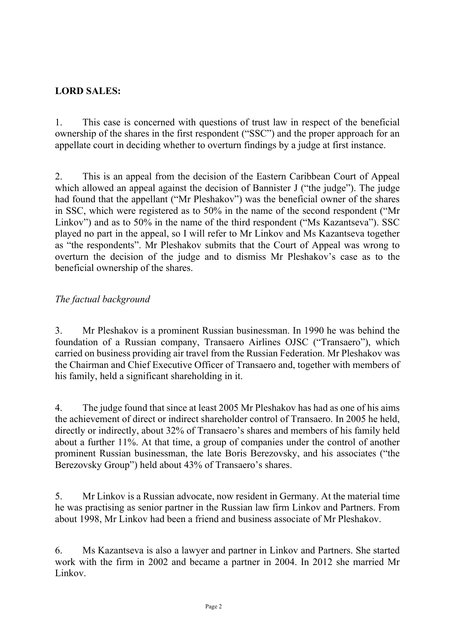### **LORD SALES:**

1. This case is concerned with questions of trust law in respect of the beneficial ownership of the shares in the first respondent ("SSC") and the proper approach for an appellate court in deciding whether to overturn findings by a judge at first instance.

2. This is an appeal from the decision of the Eastern Caribbean Court of Appeal which allowed an appeal against the decision of Bannister J ("the judge"). The judge had found that the appellant ("Mr Pleshakov") was the beneficial owner of the shares in SSC, which were registered as to 50% in the name of the second respondent ("Mr Linkov") and as to 50% in the name of the third respondent ("Ms Kazantseva"). SSC played no part in the appeal, so I will refer to Mr Linkov and Ms Kazantseva together as "the respondents". Mr Pleshakov submits that the Court of Appeal was wrong to overturn the decision of the judge and to dismiss Mr Pleshakov's case as to the beneficial ownership of the shares.

#### *The factual background*

3. Mr Pleshakov is a prominent Russian businessman. In 1990 he was behind the foundation of a Russian company, Transaero Airlines OJSC ("Transaero"), which carried on business providing air travel from the Russian Federation. Mr Pleshakov was the Chairman and Chief Executive Officer of Transaero and, together with members of his family, held a significant shareholding in it.

4. The judge found that since at least 2005 Mr Pleshakov has had as one of his aims the achievement of direct or indirect shareholder control of Transaero. In 2005 he held, directly or indirectly, about 32% of Transaero's shares and members of his family held about a further 11%. At that time, a group of companies under the control of another prominent Russian businessman, the late Boris Berezovsky, and his associates ("the Berezovsky Group") held about 43% of Transaero's shares.

5. Mr Linkov is a Russian advocate, now resident in Germany. At the material time he was practising as senior partner in the Russian law firm Linkov and Partners. From about 1998, Mr Linkov had been a friend and business associate of Mr Pleshakov.

6. Ms Kazantseva is also a lawyer and partner in Linkov and Partners. She started work with the firm in 2002 and became a partner in 2004. In 2012 she married Mr Linkov.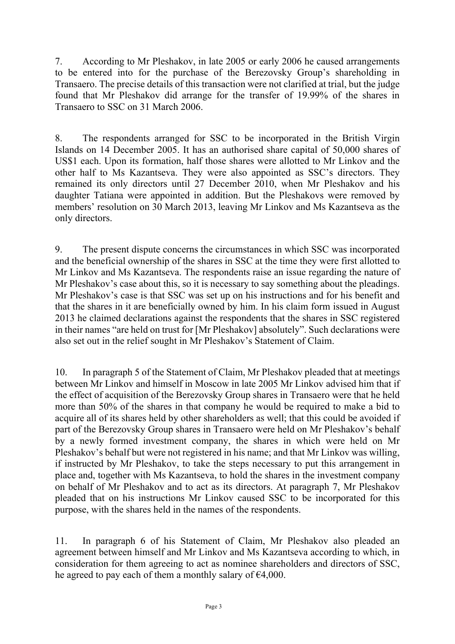7. According to Mr Pleshakov, in late 2005 or early 2006 he caused arrangements to be entered into for the purchase of the Berezovsky Group's shareholding in Transaero. The precise details of this transaction were not clarified at trial, but the judge found that Mr Pleshakov did arrange for the transfer of 19.99% of the shares in Transaero to SSC on 31 March 2006.

8. The respondents arranged for SSC to be incorporated in the British Virgin Islands on 14 December 2005. It has an authorised share capital of 50,000 shares of US\$1 each. Upon its formation, half those shares were allotted to Mr Linkov and the other half to Ms Kazantseva. They were also appointed as SSC's directors. They remained its only directors until 27 December 2010, when Mr Pleshakov and his daughter Tatiana were appointed in addition. But the Pleshakovs were removed by members' resolution on 30 March 2013, leaving Mr Linkov and Ms Kazantseva as the only directors.

9. The present dispute concerns the circumstances in which SSC was incorporated and the beneficial ownership of the shares in SSC at the time they were first allotted to Mr Linkov and Ms Kazantseva. The respondents raise an issue regarding the nature of Mr Pleshakov's case about this, so it is necessary to say something about the pleadings. Mr Pleshakov's case is that SSC was set up on his instructions and for his benefit and that the shares in it are beneficially owned by him. In his claim form issued in August 2013 he claimed declarations against the respondents that the shares in SSC registered in their names "are held on trust for [Mr Pleshakov] absolutely". Such declarations were also set out in the relief sought in Mr Pleshakov's Statement of Claim.

10. In paragraph 5 of the Statement of Claim, Mr Pleshakov pleaded that at meetings between Mr Linkov and himself in Moscow in late 2005 Mr Linkov advised him that if the effect of acquisition of the Berezovsky Group shares in Transaero were that he held more than 50% of the shares in that company he would be required to make a bid to acquire all of its shares held by other shareholders as well; that this could be avoided if part of the Berezovsky Group shares in Transaero were held on Mr Pleshakov's behalf by a newly formed investment company, the shares in which were held on Mr Pleshakov's behalf but were not registered in his name; and that Mr Linkov was willing, if instructed by Mr Pleshakov, to take the steps necessary to put this arrangement in place and, together with Ms Kazantseva, to hold the shares in the investment company on behalf of Mr Pleshakov and to act as its directors. At paragraph 7, Mr Pleshakov pleaded that on his instructions Mr Linkov caused SSC to be incorporated for this purpose, with the shares held in the names of the respondents.

11. In paragraph 6 of his Statement of Claim, Mr Pleshakov also pleaded an agreement between himself and Mr Linkov and Ms Kazantseva according to which, in consideration for them agreeing to act as nominee shareholders and directors of SSC, he agreed to pay each of them a monthly salary of  $\epsilon$ 4,000.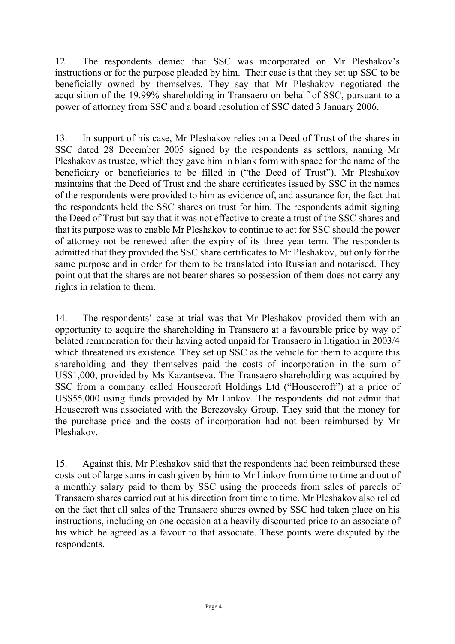12. The respondents denied that SSC was incorporated on Mr Pleshakov's instructions or for the purpose pleaded by him. Their case is that they set up SSC to be beneficially owned by themselves. They say that Mr Pleshakov negotiated the acquisition of the 19.99% shareholding in Transaero on behalf of SSC, pursuant to a power of attorney from SSC and a board resolution of SSC dated 3 January 2006.

13. In support of his case, Mr Pleshakov relies on a Deed of Trust of the shares in SSC dated 28 December 2005 signed by the respondents as settlors, naming Mr Pleshakov as trustee, which they gave him in blank form with space for the name of the beneficiary or beneficiaries to be filled in ("the Deed of Trust"). Mr Pleshakov maintains that the Deed of Trust and the share certificates issued by SSC in the names of the respondents were provided to him as evidence of, and assurance for, the fact that the respondents held the SSC shares on trust for him. The respondents admit signing the Deed of Trust but say that it was not effective to create a trust of the SSC shares and that its purpose was to enable Mr Pleshakov to continue to act for SSC should the power of attorney not be renewed after the expiry of its three year term. The respondents admitted that they provided the SSC share certificates to Mr Pleshakov, but only for the same purpose and in order for them to be translated into Russian and notarised. They point out that the shares are not bearer shares so possession of them does not carry any rights in relation to them.

14. The respondents' case at trial was that Mr Pleshakov provided them with an opportunity to acquire the shareholding in Transaero at a favourable price by way of belated remuneration for their having acted unpaid for Transaero in litigation in 2003/4 which threatened its existence. They set up SSC as the vehicle for them to acquire this shareholding and they themselves paid the costs of incorporation in the sum of US\$1,000, provided by Ms Kazantseva. The Transaero shareholding was acquired by SSC from a company called Housecroft Holdings Ltd ("Housecroft") at a price of US\$55,000 using funds provided by Mr Linkov. The respondents did not admit that Housecroft was associated with the Berezovsky Group. They said that the money for the purchase price and the costs of incorporation had not been reimbursed by Mr Pleshakov.

15. Against this, Mr Pleshakov said that the respondents had been reimbursed these costs out of large sums in cash given by him to Mr Linkov from time to time and out of a monthly salary paid to them by SSC using the proceeds from sales of parcels of Transaero shares carried out at his direction from time to time. Mr Pleshakov also relied on the fact that all sales of the Transaero shares owned by SSC had taken place on his instructions, including on one occasion at a heavily discounted price to an associate of his which he agreed as a favour to that associate. These points were disputed by the respondents.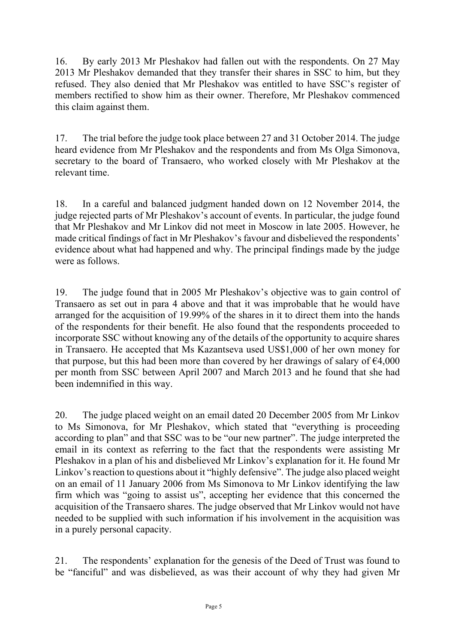16. By early 2013 Mr Pleshakov had fallen out with the respondents. On 27 May 2013 Mr Pleshakov demanded that they transfer their shares in SSC to him, but they refused. They also denied that Mr Pleshakov was entitled to have SSC's register of members rectified to show him as their owner. Therefore, Mr Pleshakov commenced this claim against them.

17. The trial before the judge took place between 27 and 31 October 2014. The judge heard evidence from Mr Pleshakov and the respondents and from Ms Olga Simonova, secretary to the board of Transaero, who worked closely with Mr Pleshakov at the relevant time.

18. In a careful and balanced judgment handed down on 12 November 2014, the judge rejected parts of Mr Pleshakov's account of events. In particular, the judge found that Mr Pleshakov and Mr Linkov did not meet in Moscow in late 2005. However, he made critical findings of fact in Mr Pleshakov's favour and disbelieved the respondents' evidence about what had happened and why. The principal findings made by the judge were as follows.

19. The judge found that in 2005 Mr Pleshakov's objective was to gain control of Transaero as set out in para 4 above and that it was improbable that he would have arranged for the acquisition of 19.99% of the shares in it to direct them into the hands of the respondents for their benefit. He also found that the respondents proceeded to incorporate SSC without knowing any of the details of the opportunity to acquire shares in Transaero. He accepted that Ms Kazantseva used US\$1,000 of her own money for that purpose, but this had been more than covered by her drawings of salary of  $\epsilon$ 4,000 per month from SSC between April 2007 and March 2013 and he found that she had been indemnified in this way.

20. The judge placed weight on an email dated 20 December 2005 from Mr Linkov to Ms Simonova, for Mr Pleshakov, which stated that "everything is proceeding according to plan" and that SSC was to be "our new partner". The judge interpreted the email in its context as referring to the fact that the respondents were assisting Mr Pleshakov in a plan of his and disbelieved Mr Linkov's explanation for it. He found Mr Linkov's reaction to questions about it "highly defensive". The judge also placed weight on an email of 11 January 2006 from Ms Simonova to Mr Linkov identifying the law firm which was "going to assist us", accepting her evidence that this concerned the acquisition of the Transaero shares. The judge observed that Mr Linkov would not have needed to be supplied with such information if his involvement in the acquisition was in a purely personal capacity.

21. The respondents' explanation for the genesis of the Deed of Trust was found to be "fanciful" and was disbelieved, as was their account of why they had given Mr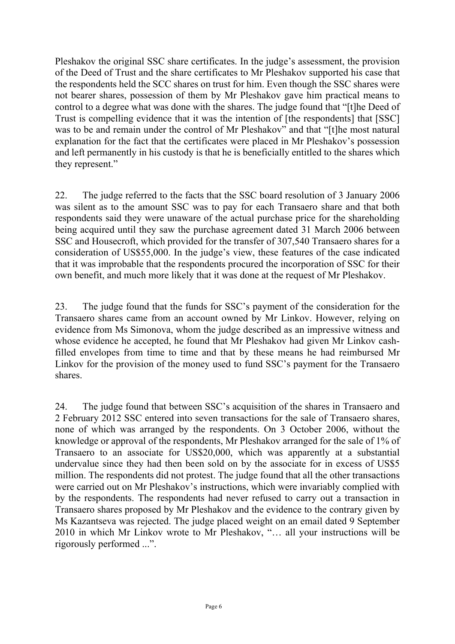Pleshakov the original SSC share certificates. In the judge's assessment, the provision of the Deed of Trust and the share certificates to Mr Pleshakov supported his case that the respondents held the SCC shares on trust for him. Even though the SSC shares were not bearer shares, possession of them by Mr Pleshakov gave him practical means to control to a degree what was done with the shares. The judge found that "[t]he Deed of Trust is compelling evidence that it was the intention of [the respondents] that [SSC] was to be and remain under the control of Mr Pleshakov" and that "[t]he most natural explanation for the fact that the certificates were placed in Mr Pleshakov's possession and left permanently in his custody is that he is beneficially entitled to the shares which they represent."

22. The judge referred to the facts that the SSC board resolution of 3 January 2006 was silent as to the amount SSC was to pay for each Transaero share and that both respondents said they were unaware of the actual purchase price for the shareholding being acquired until they saw the purchase agreement dated 31 March 2006 between SSC and Housecroft, which provided for the transfer of 307,540 Transaero shares for a consideration of US\$55,000. In the judge's view, these features of the case indicated that it was improbable that the respondents procured the incorporation of SSC for their own benefit, and much more likely that it was done at the request of Mr Pleshakov.

23. The judge found that the funds for SSC's payment of the consideration for the Transaero shares came from an account owned by Mr Linkov. However, relying on evidence from Ms Simonova, whom the judge described as an impressive witness and whose evidence he accepted, he found that Mr Pleshakov had given Mr Linkov cashfilled envelopes from time to time and that by these means he had reimbursed Mr Linkov for the provision of the money used to fund SSC's payment for the Transaero shares.

24. The judge found that between SSC's acquisition of the shares in Transaero and 2 February 2012 SSC entered into seven transactions for the sale of Transaero shares, none of which was arranged by the respondents. On 3 October 2006, without the knowledge or approval of the respondents, Mr Pleshakov arranged for the sale of 1% of Transaero to an associate for US\$20,000, which was apparently at a substantial undervalue since they had then been sold on by the associate for in excess of US\$5 million. The respondents did not protest. The judge found that all the other transactions were carried out on Mr Pleshakov's instructions, which were invariably complied with by the respondents. The respondents had never refused to carry out a transaction in Transaero shares proposed by Mr Pleshakov and the evidence to the contrary given by Ms Kazantseva was rejected. The judge placed weight on an email dated 9 September 2010 in which Mr Linkov wrote to Mr Pleshakov, "… all your instructions will be rigorously performed ...".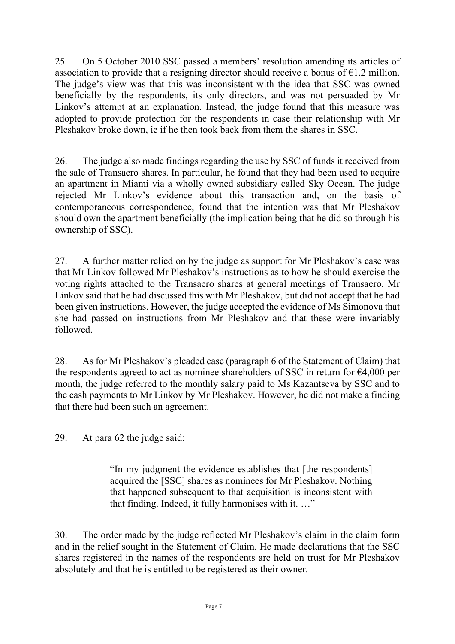25. On 5 October 2010 SSC passed a members' resolution amending its articles of association to provide that a resigning director should receive a bonus of  $\epsilon$ 1.2 million. The judge's view was that this was inconsistent with the idea that SSC was owned beneficially by the respondents, its only directors, and was not persuaded by Mr Linkov's attempt at an explanation. Instead, the judge found that this measure was adopted to provide protection for the respondents in case their relationship with Mr Pleshakov broke down, ie if he then took back from them the shares in SSC.

26. The judge also made findings regarding the use by SSC of funds it received from the sale of Transaero shares. In particular, he found that they had been used to acquire an apartment in Miami via a wholly owned subsidiary called Sky Ocean. The judge rejected Mr Linkov's evidence about this transaction and, on the basis of contemporaneous correspondence, found that the intention was that Mr Pleshakov should own the apartment beneficially (the implication being that he did so through his ownership of SSC).

27. A further matter relied on by the judge as support for Mr Pleshakov's case was that Mr Linkov followed Mr Pleshakov's instructions as to how he should exercise the voting rights attached to the Transaero shares at general meetings of Transaero. Mr Linkov said that he had discussed this with Mr Pleshakov, but did not accept that he had been given instructions. However, the judge accepted the evidence of Ms Simonova that she had passed on instructions from Mr Pleshakov and that these were invariably followed.

28. As for Mr Pleshakov's pleaded case (paragraph 6 of the Statement of Claim) that the respondents agreed to act as nominee shareholders of SSC in return for  $64,000$  per month, the judge referred to the monthly salary paid to Ms Kazantseva by SSC and to the cash payments to Mr Linkov by Mr Pleshakov. However, he did not make a finding that there had been such an agreement.

29. At para 62 the judge said:

"In my judgment the evidence establishes that [the respondents] acquired the [SSC] shares as nominees for Mr Pleshakov. Nothing that happened subsequent to that acquisition is inconsistent with that finding. Indeed, it fully harmonises with it. …"

30. The order made by the judge reflected Mr Pleshakov's claim in the claim form and in the relief sought in the Statement of Claim. He made declarations that the SSC shares registered in the names of the respondents are held on trust for Mr Pleshakov absolutely and that he is entitled to be registered as their owner.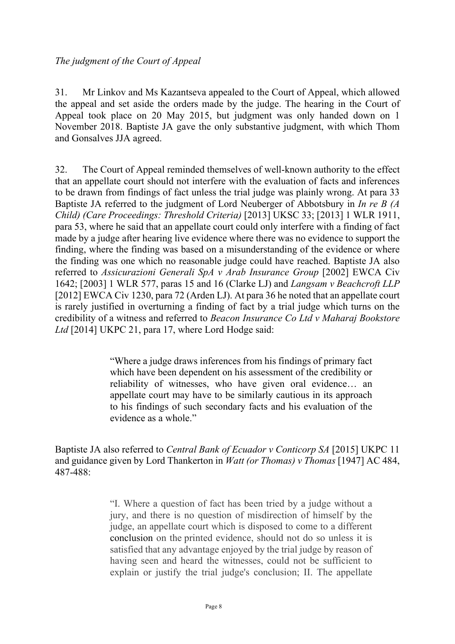#### *The judgment of the Court of Appeal*

31. Mr Linkov and Ms Kazantseva appealed to the Court of Appeal, which allowed the appeal and set aside the orders made by the judge. The hearing in the Court of Appeal took place on 20 May 2015, but judgment was only handed down on 1 November 2018. Baptiste JA gave the only substantive judgment, with which Thom and Gonsalves JJA agreed.

32. The Court of Appeal reminded themselves of well-known authority to the effect that an appellate court should not interfere with the evaluation of facts and inferences to be drawn from findings of fact unless the trial judge was plainly wrong. At para 33 Baptiste JA referred to the judgment of Lord Neuberger of Abbotsbury in *In re B (A Child) (Care Proceedings: Threshold Criteria)* [2013] UKSC 33; [2013] 1 WLR 1911, para 53, where he said that an appellate court could only interfere with a finding of fact made by a judge after hearing live evidence where there was no evidence to support the finding, where the finding was based on a misunderstanding of the evidence or where the finding was one which no reasonable judge could have reached. Baptiste JA also referred to *Assicurazioni Generali SpA v Arab Insurance Group* [2002] EWCA Civ 1642; [2003] 1 WLR 577, paras 15 and 16 (Clarke LJ) and *Langsam v Beachcroft LLP*  [2012] EWCA Civ 1230, para 72 (Arden LJ). At para 36 he noted that an appellate court is rarely justified in overturning a finding of fact by a trial judge which turns on the credibility of a witness and referred to *Beacon Insurance Co Ltd v Maharaj Bookstore Ltd* [2014] UKPC 21, para 17, where Lord Hodge said:

> "Where a judge draws inferences from his findings of primary fact which have been dependent on his assessment of the credibility or reliability of witnesses, who have given oral evidence… an appellate court may have to be similarly cautious in its approach to his findings of such secondary facts and his evaluation of the evidence as a whole."

Baptiste JA also referred to *Central Bank of Ecuador v Conticorp SA* [2015] UKPC 11 and guidance given by Lord Thankerton in *Watt (or Thomas) v Thomas* [1947] AC 484, 487-488:

> "I. Where a question of fact has been tried by a judge without a jury, and there is no question of misdirection of himself by the judge, an appellate court which is disposed to come to a different conclusion on the printed evidence, should not do so unless it is satisfied that any advantage enjoyed by the trial judge by reason of having seen and heard the witnesses, could not be sufficient to explain or justify the trial judge's conclusion; II. The appellate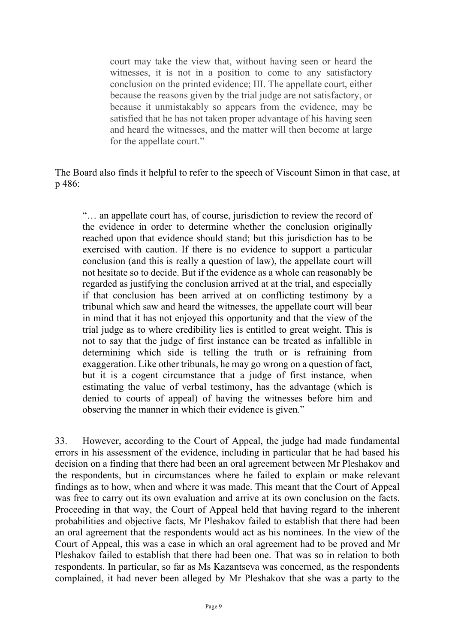court may take the view that, without having seen or heard the witnesses, it is not in a position to come to any satisfactory conclusion on the printed evidence; III. The appellate court, either because the reasons given by the trial judge are not satisfactory, or because it unmistakably so appears from the evidence, may be satisfied that he has not taken proper advantage of his having seen and heard the witnesses, and the matter will then become at large for the appellate court."

The Board also finds it helpful to refer to the speech of Viscount Simon in that case, at p 486:

"… an appellate court has, of course, jurisdiction to review the record of the evidence in order to determine whether the conclusion originally reached upon that evidence should stand; but this jurisdiction has to be exercised with caution. If there is no evidence to support a particular conclusion (and this is really a question of law), the appellate court will not hesitate so to decide. But if the evidence as a whole can reasonably be regarded as justifying the conclusion arrived at at the trial, and especially if that conclusion has been arrived at on conflicting testimony by a tribunal which saw and heard the witnesses, the appellate court will bear in mind that it has not enjoyed this opportunity and that the view of the trial judge as to where credibility lies is entitled to great weight. This is not to say that the judge of first instance can be treated as infallible in determining which side is telling the truth or is refraining from exaggeration. Like other tribunals, he may go wrong on a question of fact, but it is a cogent circumstance that a judge of first instance, when estimating the value of verbal testimony, has the advantage (which is denied to courts of appeal) of having the witnesses before him and observing the manner in which their evidence is given."

33. However, according to the Court of Appeal, the judge had made fundamental errors in his assessment of the evidence, including in particular that he had based his decision on a finding that there had been an oral agreement between Mr Pleshakov and the respondents, but in circumstances where he failed to explain or make relevant findings as to how, when and where it was made. This meant that the Court of Appeal was free to carry out its own evaluation and arrive at its own conclusion on the facts. Proceeding in that way, the Court of Appeal held that having regard to the inherent probabilities and objective facts, Mr Pleshakov failed to establish that there had been an oral agreement that the respondents would act as his nominees. In the view of the Court of Appeal, this was a case in which an oral agreement had to be proved and Mr Pleshakov failed to establish that there had been one. That was so in relation to both respondents. In particular, so far as Ms Kazantseva was concerned, as the respondents complained, it had never been alleged by Mr Pleshakov that she was a party to the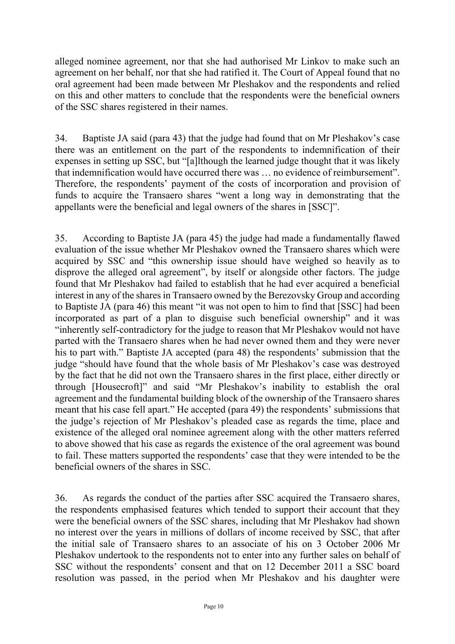alleged nominee agreement, nor that she had authorised Mr Linkov to make such an agreement on her behalf, nor that she had ratified it. The Court of Appeal found that no oral agreement had been made between Mr Pleshakov and the respondents and relied on this and other matters to conclude that the respondents were the beneficial owners of the SSC shares registered in their names.

34. Baptiste JA said (para 43) that the judge had found that on Mr Pleshakov's case there was an entitlement on the part of the respondents to indemnification of their expenses in setting up SSC, but "[a]lthough the learned judge thought that it was likely that indemnification would have occurred there was … no evidence of reimbursement". Therefore, the respondents' payment of the costs of incorporation and provision of funds to acquire the Transaero shares "went a long way in demonstrating that the appellants were the beneficial and legal owners of the shares in [SSC]".

35. According to Baptiste JA (para 45) the judge had made a fundamentally flawed evaluation of the issue whether Mr Pleshakov owned the Transaero shares which were acquired by SSC and "this ownership issue should have weighed so heavily as to disprove the alleged oral agreement", by itself or alongside other factors. The judge found that Mr Pleshakov had failed to establish that he had ever acquired a beneficial interest in any of the shares in Transaero owned by the Berezovsky Group and according to Baptiste JA (para 46) this meant "it was not open to him to find that [SSC] had been incorporated as part of a plan to disguise such beneficial ownership" and it was "inherently self-contradictory for the judge to reason that Mr Pleshakov would not have parted with the Transaero shares when he had never owned them and they were never his to part with." Baptiste JA accepted (para 48) the respondents' submission that the judge "should have found that the whole basis of Mr Pleshakov's case was destroyed by the fact that he did not own the Transaero shares in the first place, either directly or through [Housecroft]" and said "Mr Pleshakov's inability to establish the oral agreement and the fundamental building block of the ownership of the Transaero shares meant that his case fell apart." He accepted (para 49) the respondents' submissions that the judge's rejection of Mr Pleshakov's pleaded case as regards the time, place and existence of the alleged oral nominee agreement along with the other matters referred to above showed that his case as regards the existence of the oral agreement was bound to fail. These matters supported the respondents' case that they were intended to be the beneficial owners of the shares in SSC.

36. As regards the conduct of the parties after SSC acquired the Transaero shares, the respondents emphasised features which tended to support their account that they were the beneficial owners of the SSC shares, including that Mr Pleshakov had shown no interest over the years in millions of dollars of income received by SSC, that after the initial sale of Transaero shares to an associate of his on 3 October 2006 Mr Pleshakov undertook to the respondents not to enter into any further sales on behalf of SSC without the respondents' consent and that on 12 December 2011 a SSC board resolution was passed, in the period when Mr Pleshakov and his daughter were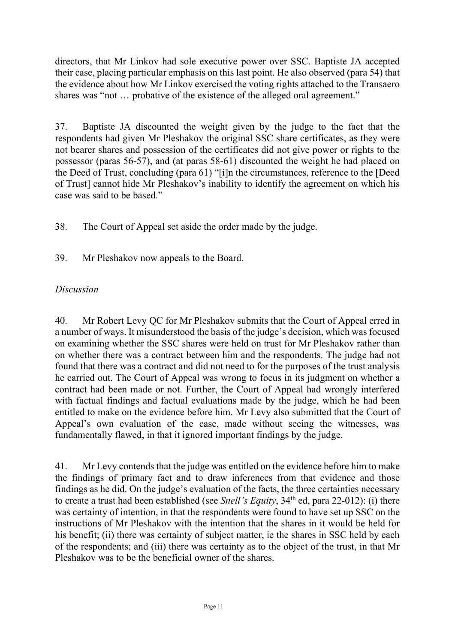directors, that Mr Linkov had sole executive power over SSC. Baptiste JA accepted their case, placing particular emphasis on this last point. He also observed (para 54) that the evidence about how Mr Linkov exercised the voting rights attached to the Transaero shares was "not … probative of the existence of the alleged oral agreement."

37. Baptiste JA discounted the weight given by the judge to the fact that the respondents had given Mr Pleshakov the original SSC share certificates, as they were not bearer shares and possession of the certificates did not give power or rights to the possessor (paras 56-57), and (at paras 58-61) discounted the weight he had placed on the Deed of Trust, concluding (para 61) "[i]n the circumstances, reference to the [Deed of Trust] cannot hide Mr Pleshakov's inability to identify the agreement on which his case was said to be based."

38. The Court of Appeal set aside the order made by the judge.

39. Mr Pleshakov now appeals to the Board.

## *Discussion*

40. Mr Robert Levy QC for Mr Pleshakov submits that the Court of Appeal erred in a number of ways. It misunderstood the basis of the judge's decision, which was focused on examining whether the SSC shares were held on trust for Mr Pleshakov rather than on whether there was a contract between him and the respondents. The judge had not found that there was a contract and did not need to for the purposes of the trust analysis he carried out. The Court of Appeal was wrong to focus in its judgment on whether a contract had been made or not. Further, the Court of Appeal had wrongly interfered with factual findings and factual evaluations made by the judge, which he had been entitled to make on the evidence before him. Mr Levy also submitted that the Court of Appeal's own evaluation of the case, made without seeing the witnesses, was fundamentally flawed, in that it ignored important findings by the judge.

41. Mr Levy contends that the judge was entitled on the evidence before him to make the findings of primary fact and to draw inferences from that evidence and those findings as he did. On the judge's evaluation of the facts, the three certainties necessary to create a trust had been established (see *Snell's Equity*, 34th ed, para 22-012): (i) there was certainty of intention, in that the respondents were found to have set up SSC on the instructions of Mr Pleshakov with the intention that the shares in it would be held for his benefit; (ii) there was certainty of subject matter, ie the shares in SSC held by each of the respondents; and (iii) there was certainty as to the object of the trust, in that Mr Pleshakov was to be the beneficial owner of the shares.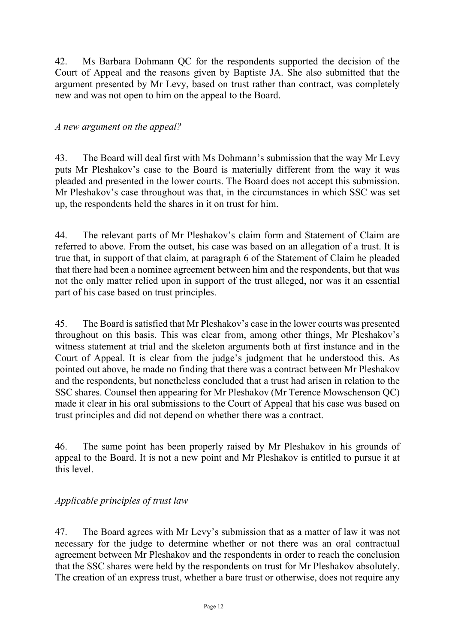42. Ms Barbara Dohmann QC for the respondents supported the decision of the Court of Appeal and the reasons given by Baptiste JA. She also submitted that the argument presented by Mr Levy, based on trust rather than contract, was completely new and was not open to him on the appeal to the Board.

#### *A new argument on the appeal?*

43. The Board will deal first with Ms Dohmann's submission that the way Mr Levy puts Mr Pleshakov's case to the Board is materially different from the way it was pleaded and presented in the lower courts. The Board does not accept this submission. Mr Pleshakov's case throughout was that, in the circumstances in which SSC was set up, the respondents held the shares in it on trust for him.

44. The relevant parts of Mr Pleshakov's claim form and Statement of Claim are referred to above. From the outset, his case was based on an allegation of a trust. It is true that, in support of that claim, at paragraph 6 of the Statement of Claim he pleaded that there had been a nominee agreement between him and the respondents, but that was not the only matter relied upon in support of the trust alleged, nor was it an essential part of his case based on trust principles.

45. The Board is satisfied that Mr Pleshakov's case in the lower courts was presented throughout on this basis. This was clear from, among other things, Mr Pleshakov's witness statement at trial and the skeleton arguments both at first instance and in the Court of Appeal. It is clear from the judge's judgment that he understood this. As pointed out above, he made no finding that there was a contract between Mr Pleshakov and the respondents, but nonetheless concluded that a trust had arisen in relation to the SSC shares. Counsel then appearing for Mr Pleshakov (Mr Terence Mowschenson QC) made it clear in his oral submissions to the Court of Appeal that his case was based on trust principles and did not depend on whether there was a contract.

46. The same point has been properly raised by Mr Pleshakov in his grounds of appeal to the Board. It is not a new point and Mr Pleshakov is entitled to pursue it at this level.

### *Applicable principles of trust law*

47. The Board agrees with Mr Levy's submission that as a matter of law it was not necessary for the judge to determine whether or not there was an oral contractual agreement between Mr Pleshakov and the respondents in order to reach the conclusion that the SSC shares were held by the respondents on trust for Mr Pleshakov absolutely. The creation of an express trust, whether a bare trust or otherwise, does not require any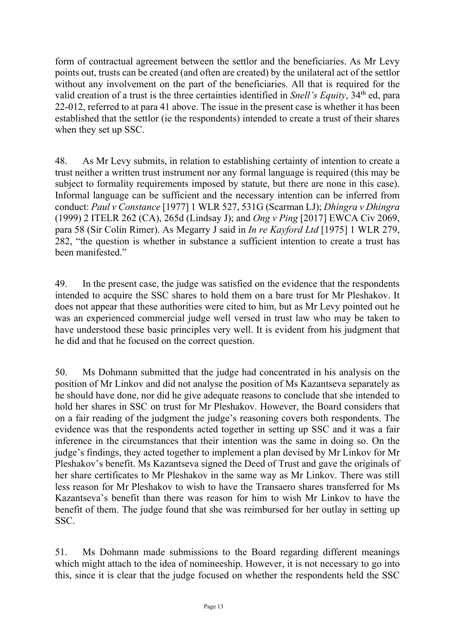form of contractual agreement between the settlor and the beneficiaries. As Mr Levy points out, trusts can be created (and often are created) by the unilateral act of the settlor without any involvement on the part of the beneficiaries. All that is required for the valid creation of a trust is the three certainties identified in *Snell's Equity*, 34<sup>th</sup> ed, para 22-012, referred to at para 41 above. The issue in the present case is whether it has been established that the settlor (ie the respondents) intended to create a trust of their shares when they set up SSC.

48. As Mr Levy submits, in relation to establishing certainty of intention to create a trust neither a written trust instrument nor any formal language is required (this may be subject to formality requirements imposed by statute, but there are none in this case). Informal language can be sufficient and the necessary intention can be inferred from conduct: *Paul v Constance* [1977] 1 WLR 527, 531G (Scarman LJ); *Dhingra v Dhingra*  (1999) 2 ITELR 262 (CA), 265d (Lindsay J); and *Ong v Ping* [2017] EWCA Civ 2069, para 58 (Sir Colin Rimer). As Megarry J said in *In re Kayford Ltd* [1975] 1 WLR 279, 282, "the question is whether in substance a sufficient intention to create a trust has been manifested."

49. In the present case, the judge was satisfied on the evidence that the respondents intended to acquire the SSC shares to hold them on a bare trust for Mr Pleshakov. It does not appear that these authorities were cited to him, but as Mr Levy pointed out he was an experienced commercial judge well versed in trust law who may be taken to have understood these basic principles very well. It is evident from his judgment that he did and that he focused on the correct question.

50. Ms Dohmann submitted that the judge had concentrated in his analysis on the position of Mr Linkov and did not analyse the position of Ms Kazantseva separately as he should have done, nor did he give adequate reasons to conclude that she intended to hold her shares in SSC on trust for Mr Pleshakov. However, the Board considers that on a fair reading of the judgment the judge's reasoning covers both respondents. The evidence was that the respondents acted together in setting up SSC and it was a fair inference in the circumstances that their intention was the same in doing so. On the judge's findings, they acted together to implement a plan devised by Mr Linkov for Mr Pleshakov's benefit. Ms Kazantseva signed the Deed of Trust and gave the originals of her share certificates to Mr Pleshakov in the same way as Mr Linkov. There was still less reason for Mr Pleshakov to wish to have the Transaero shares transferred for Ms Kazantseva's benefit than there was reason for him to wish Mr Linkov to have the benefit of them. The judge found that she was reimbursed for her outlay in setting up SSC.

51. Ms Dohmann made submissions to the Board regarding different meanings which might attach to the idea of nomineeship. However, it is not necessary to go into this, since it is clear that the judge focused on whether the respondents held the SSC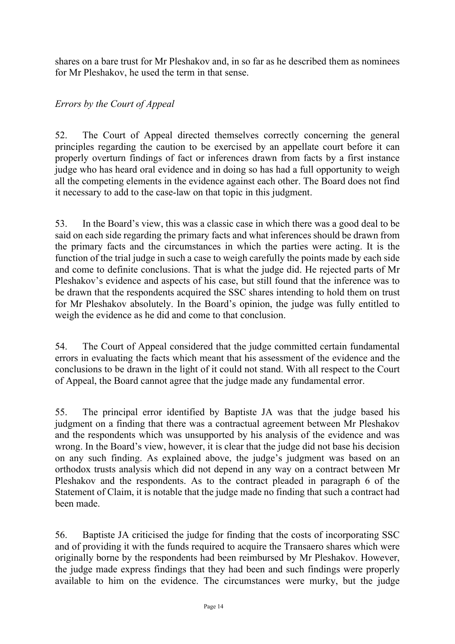shares on a bare trust for Mr Pleshakov and, in so far as he described them as nominees for Mr Pleshakov, he used the term in that sense.

## *Errors by the Court of Appeal*

52. The Court of Appeal directed themselves correctly concerning the general principles regarding the caution to be exercised by an appellate court before it can properly overturn findings of fact or inferences drawn from facts by a first instance judge who has heard oral evidence and in doing so has had a full opportunity to weigh all the competing elements in the evidence against each other. The Board does not find it necessary to add to the case-law on that topic in this judgment.

53. In the Board's view, this was a classic case in which there was a good deal to be said on each side regarding the primary facts and what inferences should be drawn from the primary facts and the circumstances in which the parties were acting. It is the function of the trial judge in such a case to weigh carefully the points made by each side and come to definite conclusions. That is what the judge did. He rejected parts of Mr Pleshakov's evidence and aspects of his case, but still found that the inference was to be drawn that the respondents acquired the SSC shares intending to hold them on trust for Mr Pleshakov absolutely. In the Board's opinion, the judge was fully entitled to weigh the evidence as he did and come to that conclusion.

54. The Court of Appeal considered that the judge committed certain fundamental errors in evaluating the facts which meant that his assessment of the evidence and the conclusions to be drawn in the light of it could not stand. With all respect to the Court of Appeal, the Board cannot agree that the judge made any fundamental error.

55. The principal error identified by Baptiste JA was that the judge based his judgment on a finding that there was a contractual agreement between Mr Pleshakov and the respondents which was unsupported by his analysis of the evidence and was wrong. In the Board's view, however, it is clear that the judge did not base his decision on any such finding. As explained above, the judge's judgment was based on an orthodox trusts analysis which did not depend in any way on a contract between Mr Pleshakov and the respondents. As to the contract pleaded in paragraph 6 of the Statement of Claim, it is notable that the judge made no finding that such a contract had been made.

56. Baptiste JA criticised the judge for finding that the costs of incorporating SSC and of providing it with the funds required to acquire the Transaero shares which were originally borne by the respondents had been reimbursed by Mr Pleshakov. However, the judge made express findings that they had been and such findings were properly available to him on the evidence. The circumstances were murky, but the judge